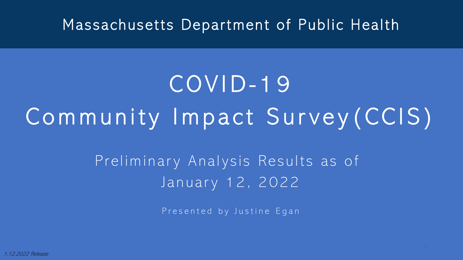#### Massachusetts Department of Public Health

# COVID- 1 9 Community Impact Survey(CCIS)

Preliminary Analysis Results as of January 12, 2022

Presented by Justine Egan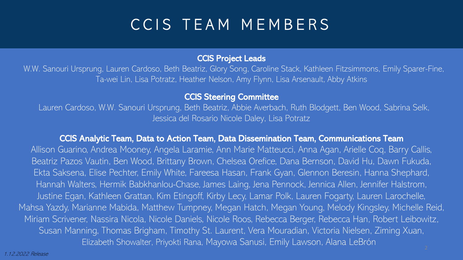#### CCIS TEAM MEMBERS

#### CCIS Project Leads

W.W. Sanouri Ursprung, Lauren Cardoso, Beth Beatriz, Glory Song, Caroline Stack, Kathleen Fitzsimmons, Emily Sparer-Fine, Ta-wei Lin, Lisa Potratz, Heather Nelson, Amy Flynn, Lisa Arsenault, Abby Atkins

#### CCIS Steering Committee

Lauren Cardoso, W.W. Sanouri Ursprung, Beth Beatriz, Abbie Averbach, Ruth Blodgett, Ben Wood, Sabrina Selk, Jessica del Rosario Nicole Daley, Lisa Potratz

#### CCIS Analytic Team, Data to Action Team, Data Dissemination Team, Communications Team

Allison Guarino, Andrea Mooney, Angela Laramie, Ann Marie Matteucci, Anna Agan, Arielle Coq, Barry Callis, Beatriz Pazos Vautin, Ben Wood, Brittany Brown, Chelsea Orefice, Dana Bernson, David Hu, Dawn Fukuda, Ekta Saksena, Elise Pechter, Emily White, Fareesa Hasan, Frank Gyan, Glennon Beresin, Hanna Shephard, Hannah Walters, Hermik Babkhanlou-Chase, James Laing, Jena Pennock, Jennica Allen, Jennifer Halstrom, Justine Egan, Kathleen Grattan, Kim Etingoff, Kirby Lecy, Lamar Polk, Lauren Fogarty, Lauren Larochelle, Mahsa Yazdy, Marianne Mabida, Matthew Tumpney, Megan Hatch, Megan Young, Melody Kingsley, Michelle Reid, Miriam Scrivener, Nassira Nicola, Nicole Daniels, Nicole Roos, Rebecca Berger, Rebecca Han, Robert Leibowitz, Susan Manning, Thomas Brigham, Timothy St. Laurent, Vera Mouradian, Victoria Nielsen, Ziming Xuan, Elizabeth Showalter, Priyokti Rana, Mayowa Sanusi, Emily Lawson, Alana LeBrón

1.12.2022 Release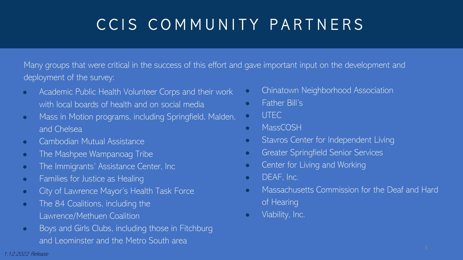### CCIS COMMUNITY PARTNERS

Many groups that were critical in the success of this effort and gave important input on the development and deployment of the survey:

- Academic Public Health Volunteer Corps and their work with local boards of health and on social media
- Mass in Motion programs, including Springfield, Malden, and Chelsea
- Cambodian Mutual Assistance
- The Mashpee Wampanoag Tribe
- The Immigrants' Assistance Center, Inc
- Families for Justice as Healing
- City of Lawrence Mayor's Health Task Force
- The 84 Coalitions, including the Lawrence/Methuen Coalition
- Boys and Girls Clubs, including those in Fitchburg and Leominster and the Metro South area
- **•** Chinatown Neighborhood Association
- Father Bill's
- UTEC
- MassCOSH
- **•** Stavros Center for Independent Living
- **Greater Springfield Senior Services**
- **•** Center for Living and Working
- **•** DEAF, Inc.
- Massachusetts Commission for the Deaf and Hard of Hearing
- **•** Viability, Inc.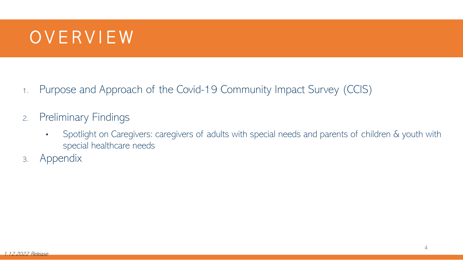#### OVERVIEW

- 1. Purpose and Approach of the Covid-19 Community Impact Survey (CCIS)
- 2. Preliminary Findings
	- Spotlight on Caregivers: caregivers of adults with special needs and parents of children & youth with special healthcare needs
- 3. Appendix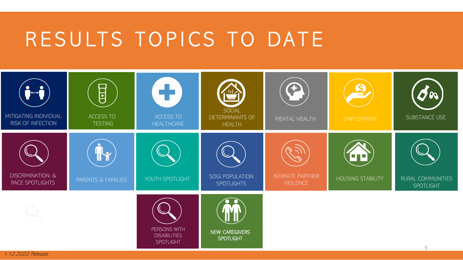# RESULTS TOPICS TO DATE



1.12.2022 Release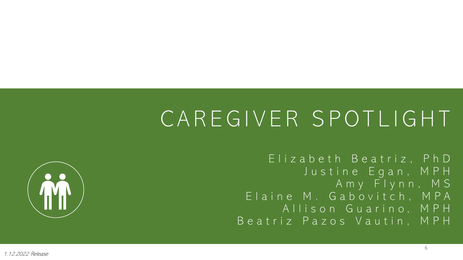# CAREGIVER SPOTLIGHT

Elizabeth Beatriz, PhD Justine Egan, MPH Amy Flynn, MS Elaine M. Gabovitch , MPA Allison Guarino, MPH Beatriz Pazos Vautin , MPH

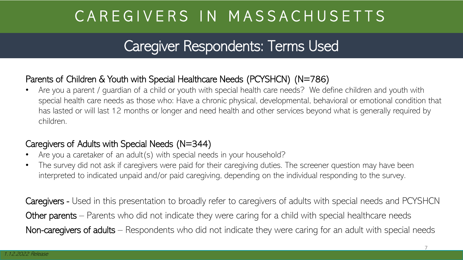#### Caregiver Respondents: Terms Used

#### Parents of Children & Youth with Special Healthcare Needs (PCYSHCN) (N=786)

• Are you a parent / guardian of a child or youth with special health care needs? We define children and youth with special health care needs as those who: Have a chronic physical, developmental, behavioral or emotional condition that has lasted or will last 12 months or longer and need health and other services beyond what is generally required by children.

#### Caregivers of Adults with Special Needs (N=344)

- Are you a caretaker of an adult(s) with special needs in your household?
- The survey did not ask if caregivers were paid for their caregiving duties. The screener question may have been interpreted to indicated unpaid and/or paid caregiving, depending on the individual responding to the survey.

Caregivers - Used in this presentation to broadly refer to caregivers of adults with special needs and PCYSHCN Other parents – Parents who did not indicate they were caring for a child with special healthcare needs Non-caregivers of adults – Respondents who did not indicate they were caring for an adult with special needs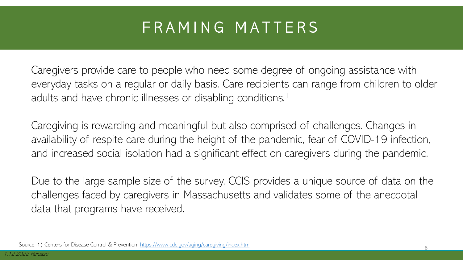#### FRAMING MATTERS

Caregivers provide care to people who need some degree of ongoing assistance with everyday tasks on a regular or daily basis. Care recipients can range from children to older adults and have chronic illnesses or disabling conditions.<sup>1</sup>

Caregiving is rewarding and meaningful but also comprised of challenges. Changes in availability of respite care during the height of the pandemic, fear of COVID-19 infection, and increased social isolation had a significant effect on caregivers during the pandemic.

Due to the large sample size of the survey, CCIS provides a unique source of data on the challenges faced by caregivers in Massachusetts and validates some of the anecdotal data that programs have received.

Source: 1) Centers for Disease Control & Prevention, <https://www.cdc.gov/aging/caregiving/index.htm>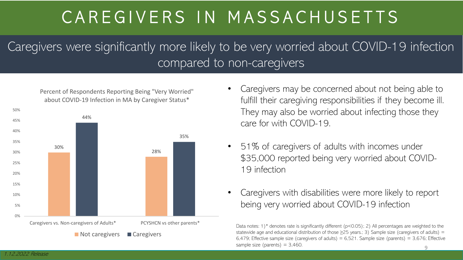Caregivers were significantly more likely to be very worried about COVID-19 infection compared to non-caregivers

Percent of Respondents Reporting Being "Very Worried" about COVID-19 Infection in MA by Caregiver Status\*



- Caregivers may be concerned about not being able to fulfill their caregiving responsibilities if they become ill. They may also be worried about infecting those they care for with COVID-19.
- 51% of caregivers of adults with incomes under \$35,000 reported being very worried about COVID-19 infection
- Caregivers with disabilities were more likely to report being very worried about COVID-19 infection

Data notes: 1)<sup>\*</sup> denotes rate is significantly different (p<0.05); 2) All percentages are weighted to the statewide age and educational distribution of those  $\geq$ 25 years.; 3) Sample size (caregivers of adults) = 6,479; Effective sample size (caregivers of adults) =  $6,521$ . Sample size (parents) =  $3,676$ ; Effective sample size (parents)  $= 3,460$ .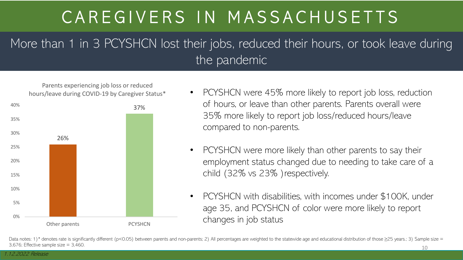#### More than 1 in 3 PCYSHCN lost their jobs, reduced their hours, or took leave during the pandemic



- PCYSHCN were 45% more likely to report job loss, reduction of hours, or leave than other parents. Parents overall were 35% more likely to report job loss/reduced hours/leave compared to non-parents.
- PCYSHCN were more likely than other parents to say their employment status changed due to needing to take care of a child (32% vs 23% )respectively.
- PCYSHCN with disabilities, with incomes under \$100K, under age 35, and PCYSHCN of color were more likely to report changes in job status

Data notes: 1)\* denotes rate is significantly different (p<0.05) between parents and non-parents; 2) All percentages are weighted to the statewide age and educational distribution of those  $\geq$ 25 years.; 3) Sample size = 3,676; Effective sample size  $= 3,460$ . 10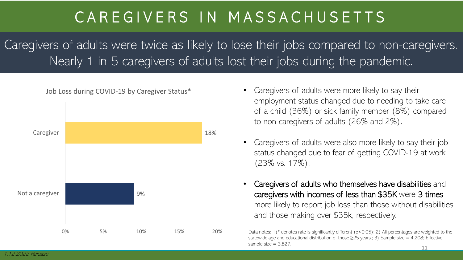Caregivers of adults were twice as likely to lose their jobs compared to non-caregivers. Nearly 1 in 5 caregivers of adults lost their jobs during the pandemic.



- employment status changed due to needing to take care of a child (36%) or sick family member (8%) compared to non-caregivers of adults (26% and 2%).
- Caregivers of adults were also more likely to say their job status changed due to fear of getting COVID-19 at work (23% vs. 17%).
- Caregivers of adults who themselves have disabilities and caregivers with incomes of less than \$35K were 3 times more likely to report job loss than those without disabilities and those making over \$35k, respectively.

Data notes: 1)\* denotes rate is significantly different (p<0.05); 2) All percentages are weighted to the statewide age and educational distribution of those  $\geq$ 25 years.; 3) Sample size = 4,208; Effective sample size  $= 3.827$ . 11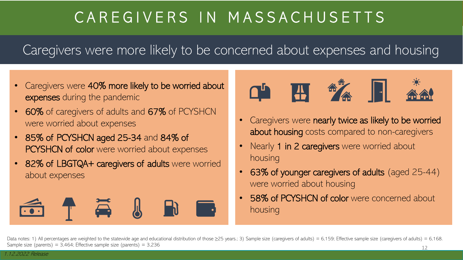Caregivers were more likely to be concerned about expenses and housing

- Caregivers were 40% more likely to be worried about expenses during the pandemic
- 60% of caregivers of adults and 67% of PCYSHCN were worried about expenses
- 85% of PCYSHCN aged 25-34 and 84% of PCYSHCN of color were worried about expenses
- 82% of LBGTQA+ caregivers of adults were worried about expenses





- Caregivers were nearly twice as likely to be worried about housing costs compared to non-caregivers
- Nearly 1 in 2 caregivers were worried about housing
- 63% of younger caregivers of adults (aged 25-44) were worried about housing
- 58% of PCYSHCN of color were concerned about housing

Data notes: 1) All percentages are weighted to the statewide age and educational distribution of those  $\geq$ 25 years.; 3) Sample size (caregivers of adults) = 6,159; Effective sample size (caregivers of adults) = 6,168. Sample size (parents) =  $3,464$ ; Effective sample size (parents) =  $3,236$ 12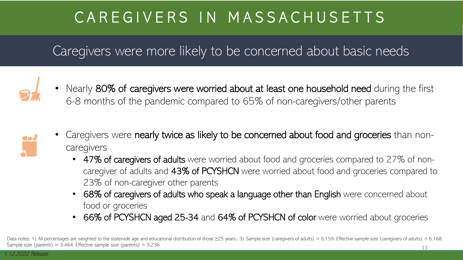#### Caregivers were more likely to be concerned about basic needs



• Nearly 80% of caregivers were worried about at least one household need during the first 6-8 months of the pandemic compared to 65% of non-caregivers/other parents



- Caregivers were nearly twice as likely to be concerned about food and groceries than noncaregivers
	- 47% of caregivers of adults were worried about food and groceries compared to 27% of noncaregiver of adults and 43% of PCYSHCN were worried about food and groceries compared to 23% of non-caregiver other parents
	- 68% of caregivers of adults who speak a language other than English were concerned about food or groceries
	- 66% of PCYSHCN aged 25-34 and 64% of PCYSHCN of color were worried about groceries

Data notes: 1) All percentages are weighted to the statewide age and educational distribution of those  $\geq$ 25 years.; 3) Sample size (caregivers of adults) = 6,159; Effective sample size (caregivers of adults) = 6,168. Sample size (parents) =  $3,464$ ; Effective sample size (parents) =  $3,236$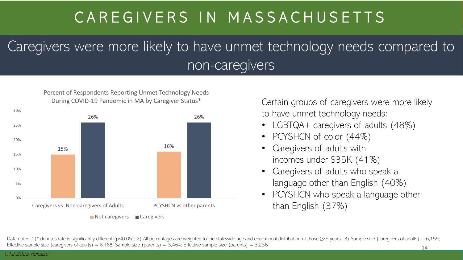#### Caregivers were more likely to have unmet technology needs compared to non-caregivers





Certain groups of caregivers were more likely to have unmet technology needs:

- LGBTQA+ caregivers of adults (48%)
- PCYSHCN of color (44%)
- Caregivers of adults with incomes under \$35K (41%)
- Caregivers of adults who speak a language other than English (40%)
- PCYSHCN who speak a language other than English (37%)

Data notes: 1)\* denotes rate is significantly different (p<0.05); 2) All percentages are weighted to the statewide age and educational distribution of those  $\geq$ 25 years.; 3) Sample size (caregivers of adults) = 6,159; Effective sample size (caregivers of adults) = 6,168. Sample size (parents) = 3,464; Effective sample size (parents) = 3,236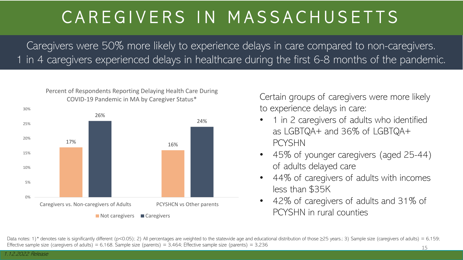Caregivers were 50% more likely to experience delays in care compared to non-caregivers. 1 in 4 caregivers experienced delays in healthcare during the first 6-8 months of the pandemic.



Percent of Respondents Reporting Delaying Health Care During

Certain groups of caregivers were more likely to experience delays in care:

- 1 in 2 caregivers of adults who identified as LGBTQA+ and 36% of LGBTQA+ PCYSHN
- 45% of younger caregivers (aged 25-44) of adults delayed care
- 44% of caregivers of adults with incomes less than \$35K
- 42% of caregivers of adults and 31% of PCYSHN in rural counties

Data notes: 1)\* denotes rate is significantly different (p<0.05); 2) All percentages are weighted to the statewide age and educational distribution of those  $\geq$ 25 years.; 3) Sample size (caregivers of adults) = 6,159; Effective sample size (caregivers of adults) = 6,168. Sample size (parents) = 3,464; Effective sample size (parents) = 3,236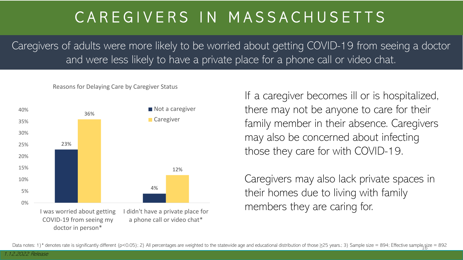Caregivers of adults were more likely to be worried about getting COVID-19 from seeing a doctor and were less likely to have a private place for a phone call or video chat.

#### Reasons for Delaying Care by Caregiver Status



If a caregiver becomes ill or is hospitalized, there may not be anyone to care for their family member in their absence. Caregivers may also be concerned about infecting those they care for with COVID-19.

Caregivers may also lack private spaces in their homes due to living with family members they are caring for.

Data notes: 1)\* denotes rate is significantly different (p<0.05); 2) All percentages are weighted to the statewide age and educational distribution of those ≥25 years.; 3) Sample size = 894; Effective sample size = 892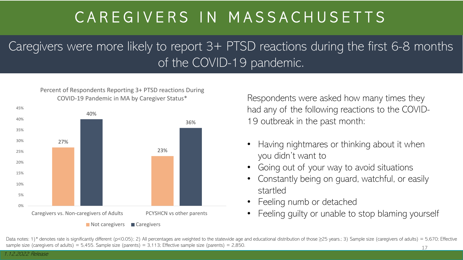Caregivers were more likely to report 3+ PTSD reactions during the first 6-8 months of the COVID-19 pandemic.

Percent of Respondents Reporting 3+ PTSD reactions During COVID-19 Pandemic in MA by Caregiver Status\*



Respondents were asked how many times they had any of the following reactions to the COVID-19 outbreak in the past month:

- Having nightmares or thinking about it when you didn't want to
- Going out of your way to avoid situations
- Constantly being on guard, watchful, or easily startled
- Feeling numb or detached
- Feeling guilty or unable to stop blaming yourself

Data notes: 1)\* denotes rate is significantly different (p<0.05); 2) All percentages are weighted to the statewide age and educational distribution of those  $\geq$ 25 years.; 3) Sample size (caregivers of adults) = 5,670; E sample size (caregivers of adults) = 5,455. Sample size (parents) = 3,113; Effective sample size (parents) = 2,850.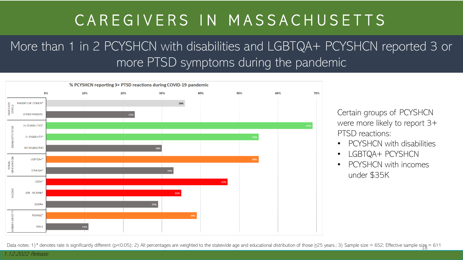More than 1 in 2 PCYSHCN with disabilities and LGBTQA+ PCYSHCN reported 3 or more PTSD symptoms during the pandemic



Certain groups of PCYSHCN were more likely to report 3+ PTSD reactions:

- PCYSHCN with disabilities
- LGBTQA+ PCYSHCN
- PCYSHCN with incomes under \$35K

Data notes: 1)\* denotes rate is significantly different (p<0.05); 2) All percentages are weighted to the statewide age and educational distribution of those ≥25 years.; 3) Sample size = 652; Effective sample size = 611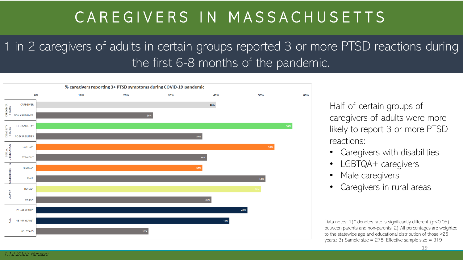1 in 2 caregivers of adults in certain groups reported 3 or more PTSD reactions during the first 6-8 months of the pandemic.



Half of certain groups of caregivers of adults were more likely to report 3 or more PTSD reactions:

- Caregivers with disabilities
- LGBTQA+ caregivers
- Male caregivers
- Caregivers in rural areas

Data notes: 1)<sup>\*</sup> denotes rate is significantly different ( $p$ <0.05) between parents and non-parents; 2) All percentages are weighted to the statewide age and educational distribution of those ≥25 years.; 3) Sample size = 278; Effective sample size = 319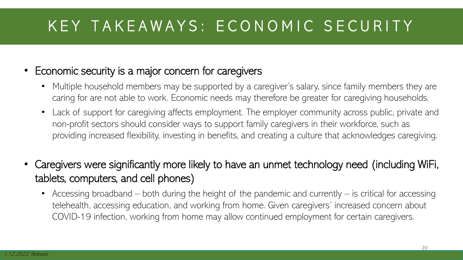### KEY TAKEAWAYS: ECONOMIC SECURITY

- Economic security is a major concern for caregivers
	- Multiple household members may be supported by a caregiver's salary, since family members they are caring for are not able to work. Economic needs may therefore be greater for caregiving households.
	- Lack of support for caregiving affects employment. The employer community across public, private and non-profit sectors should consider ways to support family caregivers in their workforce, such as providing increased flexibility, investing in benefits, and creating a culture that acknowledges caregiving.
- Caregivers were significantly more likely to have an unmet technology need (including WiFi, tablets, computers, and cell phones)
	- Accessing broadband both during the height of the pandemic and currently is critical for accessing telehealth, accessing education, and working from home. Given caregivers' increased concern about COVID-19 infection, working from home may allow continued employment for certain caregivers.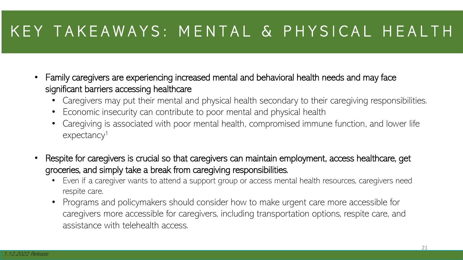#### KEY TAKEAWAYS: MENTAL & PHYSICAL HEALTH

- Family caregivers are experiencing increased mental and behavioral health needs and may face significant barriers accessing healthcare
	- Caregivers may put their mental and physical health secondary to their caregiving responsibilities.
	- Economic insecurity can contribute to poor mental and physical health
	- Caregiving is associated with poor mental health, compromised immune function, and lower life expectancy<sup>1</sup>
- Respite for caregivers is crucial so that caregivers can maintain employment, access healthcare, get groceries, and simply take a break from caregiving responsibilities.
	- Even if a caregiver wants to attend a support group or access mental health resources, caregivers need respite care.
	- Programs and policymakers should consider how to make urgent care more accessible for caregivers more accessible for caregivers, including transportation options, respite care, and assistance with telehealth access.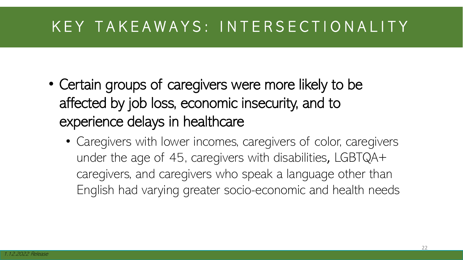#### KEY TAKEAWAYS: INTERSECTIONALITY

- Certain groups of caregivers were more likely to be affected by job loss, economic insecurity, and to experience delays in healthcare
	- Caregivers with lower incomes, caregivers of color, caregivers under the age of 45, caregivers with disabilities, LGBTQA+ caregivers, and caregivers who speak a language other than English had varying greater socio-economic and health needs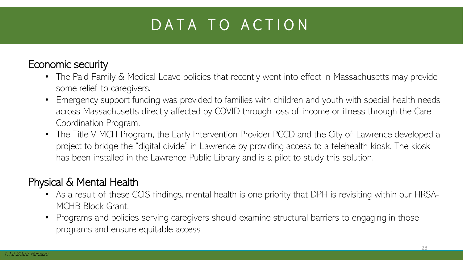### DATA TO ACTION

#### Economic security

- The Paid Family & Medical Leave policies that recently went into effect in Massachusetts may provide some relief to caregivers.
- Emergency support funding was provided to families with children and youth with special health needs across Massachusetts directly affected by COVID through loss of income or illness through the Care Coordination Program.
- The Title V MCH Program, the Early Intervention Provider PCCD and the City of Lawrence developed a project to bridge the "digital divide" in Lawrence by providing access to a telehealth kiosk. The kiosk has been installed in the Lawrence Public Library and is a pilot to study this solution.

#### Physical & Mental Health

- As a result of these CCIS findings, mental health is one priority that DPH is revisiting within our HRSA-MCHB Block Grant.
- Programs and policies serving caregivers should examine structural barriers to engaging in those programs and ensure equitable access